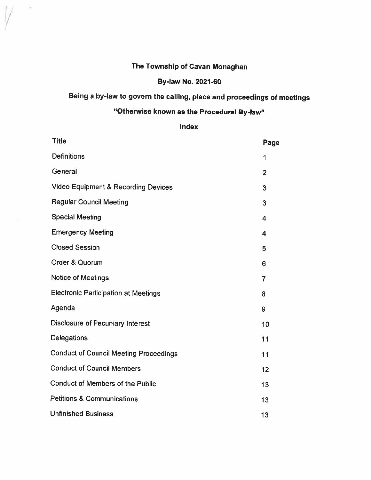# The Township of Cavan Monaghan

 $\alpha$ 

# By-law No. 2021 -60

# Being <sup>a</sup> by-law to govern the calling, <sup>p</sup>lace and proceedings of meetings

# "Otherwise known as the Procedural By-law"

#### Index

| Title                                          | Page           |
|------------------------------------------------|----------------|
| <b>Definitions</b>                             | 1              |
| General                                        | $\overline{2}$ |
| <b>Video Equipment &amp; Recording Devices</b> | 3              |
| <b>Regular Council Meeting</b>                 | 3              |
| <b>Special Meeting</b>                         | 4              |
| <b>Emergency Meeting</b>                       | 4              |
| <b>Closed Session</b>                          | 5              |
| Order & Quorum                                 | 6              |
| <b>Notice of Meetings</b>                      | $\overline{7}$ |
| <b>Electronic Participation at Meetings</b>    | 8              |
| Agenda                                         | 9              |
| <b>Disclosure of Pecuniary Interest</b>        | 10             |
| Delegations                                    | 11             |
| <b>Conduct of Council Meeting Proceedings</b>  | 11             |
| <b>Conduct of Council Members</b>              | 12             |
| <b>Conduct of Members of the Public</b>        | 13             |
| <b>Petitions &amp; Communications</b>          | 13             |
| <b>Unfinished Business</b>                     | 13             |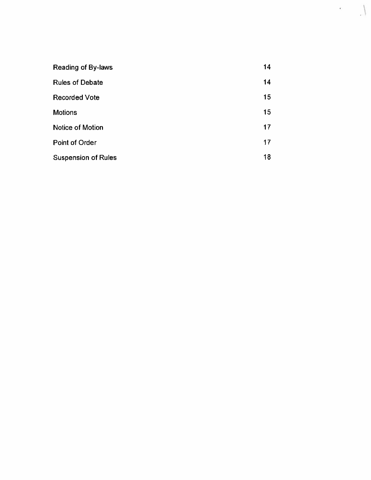| <b>Reading of By-laws</b>  | 14 |
|----------------------------|----|
| <b>Rules of Debate</b>     | 14 |
| <b>Recorded Vote</b>       | 15 |
| <b>Motions</b>             | 15 |
| <b>Notice of Motion</b>    | 17 |
| Point of Order             | 17 |
| <b>Suspension of Rules</b> | 18 |

 $\mathbf{e}$ 

 $\langle$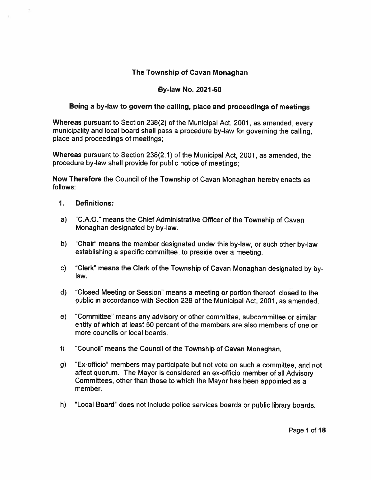### The Township of Cavan Monaghan

#### By-law No. 2021 -60

#### Being <sup>a</sup> by-law to govern the calling, <sup>p</sup>lace and proceedings of meetings

Whereas pursuan<sup>t</sup> to Section 238(2) of the Municipal Act, 2001, as amended, every municipality and local board shall pass <sup>a</sup> procedure by-law for governing the calling, place and proceedings of meetings;

Whereas pursuan<sup>t</sup> to Section 238(2.1) of the Municipal Act, 2001, as amended, the procedure by-law shall provide for public notice of meetings;

Now Therefore the Council of the Township of Cavan Monaghan hereby enacts as follows:

- 1. Definitions:
- a) "C.A.O." means the Chief Administrative Officer of the Township of Cavan Monaghan designated by by-law.
- b) "Chair" means the member designated under this by-law, or such other by-law establishing <sup>a</sup> specific committee, to preside over <sup>a</sup> meeting.
- c) "Clerk" means the Clerk of the Township of Cavan Monaghan designated by by law.
- d) "Closed Meeting or Session" means <sup>a</sup> meeting or portion thereof, closed to the public in accordance with Section 239 of the Municipal Act, 2001, as amended.
- e) "Committee" means any advisory or other committee, subcommittee or similar entity of which at least 50 percen<sup>t</sup> of the members are also members of one or more councils or local boards.
- f) "Council" means the Council of the Township of Cavan Monaghan.
- g) "Ex-officio" members may participate but not vote on such <sup>a</sup> committee, and not affect quorum. The Mayor is considered an ex-officio member of all Advisory Committees, other than those to which the Mayor has been appointed as <sup>a</sup> member.
- h) "Local Board" does not include police services boards or public library boards.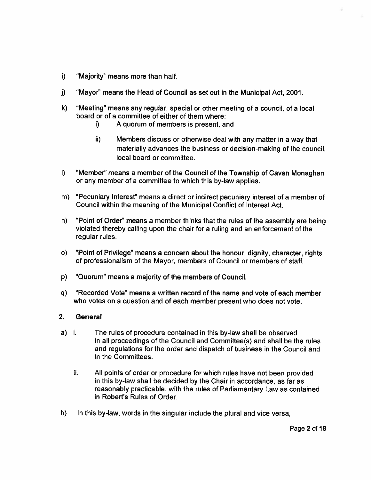- i) "Majority" means more than half.
- j) "Mayor" means the Head of Council as set out in the Municipal Act, 2001.
- k) "Meeting" means any regular, special or other meeting of <sup>a</sup> council, of <sup>a</sup> local board or of <sup>a</sup> committee of either of them where:
	- i) A quorum of members is present, and
	- ii) Members discuss or otherwise deal with any matter in a way that materially advances the business or decision-making of the council, local board or committee.
- I) "Member" means <sup>a</sup> member of the Council of the Township of Cavan Monaghan or any member of <sup>a</sup> committee to which this by-law applies.
- m) "Pecuniary Interest" means <sup>a</sup> direct or indirect pecuniary interest of <sup>a</sup> member of Council within the meaning of the Municipal Conflict of Interest Act.
- n) "Point of Order" means <sup>a</sup> member thinks that the rules of the assembly are being violated thereby calling upon the chair for <sup>a</sup> ruling and an enforcement of the regular rules.
- o) "Point of Privilege" means <sup>a</sup> concern about the honour, dignity, character, rights of professionalism of the Mayor, members of Council or members of staff.
- p) "Quorum" means <sup>a</sup> majority of the members of Council.
- q) "Recorded Vote" means <sup>a</sup> written record of the name and vote of each member who votes on a question and of each member presen<sup>t</sup> who does not vote.

#### 2.**General**

- a) i. The rules of procedure contained in this by-law shall be observed in all proceedings of the Council and Committee(s) and shall be the rules and regulations for the order and dispatch of business in the Council and in the Committees.
	- ii. All points of order or procedure for which rules have not been provided in this by-law shall be decided by the Chair in accordance, as far as reasonably practicable, with the rules of Parliamentary Law as contained in Robert's Rules of Order.
- b) In this by-law, words in the singular include the plurai and vice versa,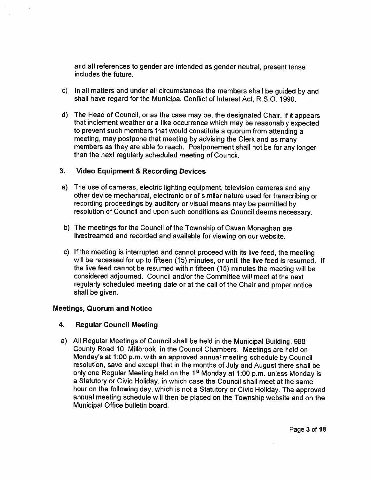and all references to gender are intended as gender neutral, presen<sup>t</sup> tense includes the future.

- c) In all matters and under all circumstances the members shall be guided by and shall have regard for the Municipal Conflict of Interest Act, R.S.O. 1990.
- d) The Head of Council, or as the case may be, the designated Chair, if it appears that inclement weather or <sup>a</sup> like occurrence which may be reasonably expected to preven<sup>t</sup> such members that would constitute <sup>a</sup> quorum from attending <sup>a</sup> meeting, may postpone that meeting by advising the Clerk and as many members as they are able to reach. Postponement shall not be for any longer than the next regularly scheduled meeting of Council.

#### 3. Video Equipment & Recording Devices

- a) The use of cameras, electric lighting equipment, television cameras and any other device mechanical, electronic or of similar nature used for transcribing or recording proceedings by auditory or visual means may be permitted by resolution of Council and upon such conditions as Council deems necessary.
- b) The meetings for the Council of the Township of Cavan Monaghan are livestreamed and recorded and available for viewing on our website.
- c) If the meeting is interrupted and cannot procee<sup>d</sup> with its live feed, the meeting will be recessed for up to fifteen (15) minutes, or until the live feed is resumed. If the live feed cannot be resumed within fifteen (15) minutes the meeting will be considered adjourned. Council and/or the Committee will meet at the next regularly scheduled meeting date or at the call of the Chair and proper notice shall be given.

#### Meetings, Quorum and Notice

#### 4. Regular Council Meeting

a) All Regular Meetings of Council shall be held in the Municipal Building, <sup>988</sup> County Road 10, Millbrook, in the Council Chambers. Meetings are held on Monday's at 1:00 p.m. with an approve<sup>d</sup> annual meeting schedule by Council resolution, save and excep<sup>t</sup> that in the months of July and August there shall be only one Regular Meeting held on the 1<sup>st</sup> Monday at 1:00 p.m. unless Monday is <sup>a</sup> Statutory or Civic Holiday, in which case the Council shall meet at the same hour on the following day, which is not <sup>a</sup> Statutory or Civic Holiday. The approve<sup>d</sup> annual meeting schedule will then be <sup>p</sup>laced on the Township website and on the Municipal Office bulletin board.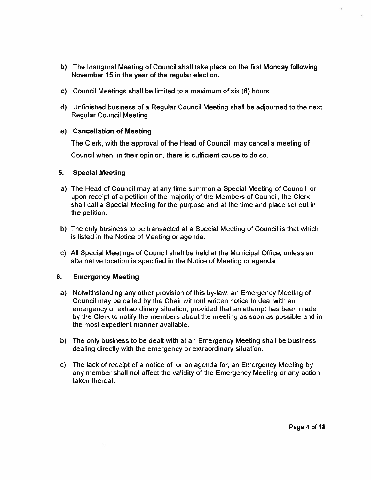- b) The Inaugural Meeting of Council shall take place on the first Monday following November 15 in the year of the regular election.
- c) Council Meetings shall be limited to <sup>a</sup> maximum of six (6) hours.
- d) Unfinished business of <sup>a</sup> Regular Council Meeting shall be adjourned to the next Regular Council Meeting.

#### e) Cancellation of Meeting

The Clerk, with the approval of the Head of Council, may cancel <sup>a</sup> meeting of Council when, in their opinion, there is sufficient cause to do so.

#### 5.Special Meeting

- a) The Head of Council may at any time summon <sup>a</sup> Special Meeting of Council, or upon receipt of <sup>a</sup> petition of the majority of the Members of Council, the Clerk shall call <sup>a</sup> Special Meeting for the purpose and at the time and place set out in the petition.
- b) The only business to be transacted at <sup>a</sup> Special Meeting of Council is that which is listed in the Notice of Meeting or agenda.
- c) All Special Meetings of Council shall be held at the Municipal Office, unless an alternative location is specified in the Notice of Meeting or agenda.

#### 6.Emergency Meeting

- a) Notwithstanding any other provision of this by-law, an Emergency Meeting of Council may be called by the Chair without written notice to deal with an emergency or extraordinary situation, provided that an attempt has been made by the Clerk to notify the members about the meeting as soon as possible and in the most expedient manner available.
- b) The only business to be dealt with at an Emergency Meeting shall be business dealing directly with the emergency or extraordinary situation.
- c) The lack of receipt of <sup>a</sup> notice of, or an agenda for, an Emergency Meeting by any member shall not affect the validity of the Emergency Meeting or any action taken thereat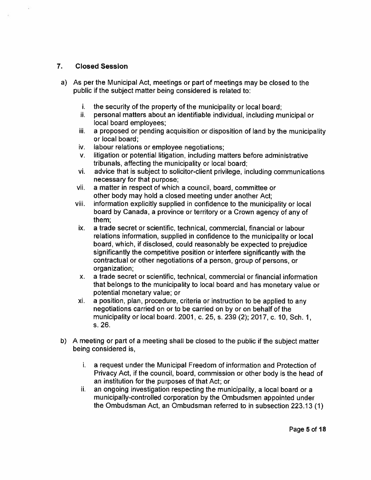#### 7. Closed Session

- a) As per the Municipal Act, meetings or part of meetings may be closed to the public if the subject matter being considered is related to:
	- i. the security of the property of the municipality or local board;
	- ñ. personal matters about an identifiable individual, including municipal or local board employees;
	- iii. <sup>a</sup> proposed or pending acquisition or disposition of land by the municipality or local board;
	- iv. labour relations or employee negotiations;
	- v. litigation or potential litigation, including matters before administrative tribunals, affecting the municipality or local board;
	- vi. advice that is subject to solicitor-client privilege, including communications necessary for that purpose;
	- vii. <sup>a</sup> matter in respec<sup>t</sup> of which <sup>a</sup> council, board, committee or other body may hold <sup>a</sup> closed meeting under another Act;
	- viii. information explicitly supplied in confidence to the municipality or local board by Canada, <sup>a</sup> province or territory or <sup>a</sup> Crown agency of any of them;
	- ix. <sup>a</sup> trade secret or scientific, technical, commercial, financial or labour relations information, supplied in confidence to the municipality or local board, which, if disclosed, could reasonably be expected to prejudice significantly the competitive position or interfere significantly with the contractual or other negotiations of <sup>a</sup> person, group of persons, or organization;
	- x. <sup>a</sup> trade secret or scientific, technical, commercial or financial information that belongs to the municipality to local board and has monetary value or potential monetary value; or
	- xi. <sup>a</sup> position. <sup>p</sup>lan. procedure, criteria or instruction to be applied to any negotiations carried on or to be carried on by or on behalf of the municipality or local board. 2001, c. 25, s. 239 (2); 2017. c. 10, Sch. 1, s. 26.
- b) <sup>A</sup> meeting or par<sup>t</sup> of <sup>a</sup> meeting shall be closed to the public if the subject matter being considered is,
	- i. <sup>a</sup> reques<sup>t</sup> under the Municipal Freedom of information and Protection of Privacy Act, if the council, board, commission or other body is the head of an institution for the purposes of that Act; or
	- ii. an ongoing investigation respecting the municipality, <sup>a</sup> local board or <sup>a</sup> municipally-controlled corporation by the Ombudsmen appointed under the Ombudsman Act, an Ombudsman referred to in subsection 223.13 (1)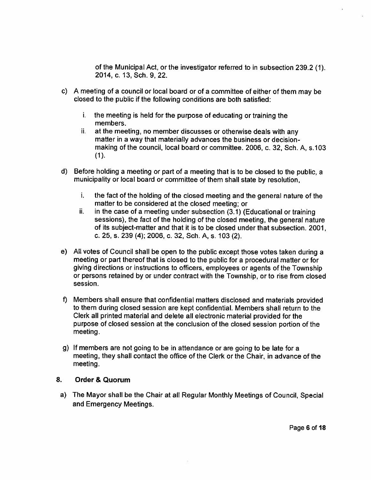of the Municipal Act, or the investigator referred to in subsection 239.2 (1) 2014, c. 13, Sch. 9, 22.

- c) <sup>A</sup> meeting of <sup>a</sup> council or local board or of <sup>a</sup> committee of either of them may be closed to the public if the following conditions are both satisfied:
	- i..  $\;$  the meeting is held for the purpose of educating or training the members.
	- ii. at the meeting, no member discusses or otherwise deals with any matter in a way that materially advances the business or decisionmaking of the council, local board or committee. 2006, c. 32, Sch. A, s.103  $(1).$
- d) Before holding <sup>a</sup> meeting or par<sup>t</sup> of <sup>a</sup> meeting that is to be closed to the public, <sup>a</sup> municipality or local board or committee of them shall state by resolution,
	- i. i. the fact of the holding of the closed meeting and the general nature of the matter to be considered at the closed meeting; or
	- ii. in the case of <sup>a</sup> meeting under subsection (3.1) (Educational or training sessions), the fact of the holding of the closed meeting, the genera<sup>l</sup> nature of its subject-matter and that it is to be closed under that subsection. 2001, c. 25, s. 239 (4); 2006, c. 32, Sch. A, s. 103 (2).
- e) All votes of Council shall be open to the public excep<sup>t</sup> those votes taken during <sup>a</sup> meeting or par<sup>t</sup> thereof that is closed to the public for <sup>a</sup> procedural matter or for <sup>g</sup>iving directions or instructions to officers, employees or agents of the Township or persons retained by or under contract with the Township, or to rise from closed session.
- f) Members shall ensure that confidential matters disclosed and materials provided to them during closed session are kept confidential. Members shall return to the Clerk all printed material and delete all electronic material provided for the purpose of closed session at the conclusion of the closed session portion of the meeting.
- g) If members are not going to be in attendance or are going to be late for <sup>a</sup> meeting, they shall contact the office of the Clerk or the Chair, in advance of the meeting.

#### 8.Order & Quorum

a) The Mayor shall be the Chair at all Regular Monthly Meetings of Council, Special and Emergency Meetings.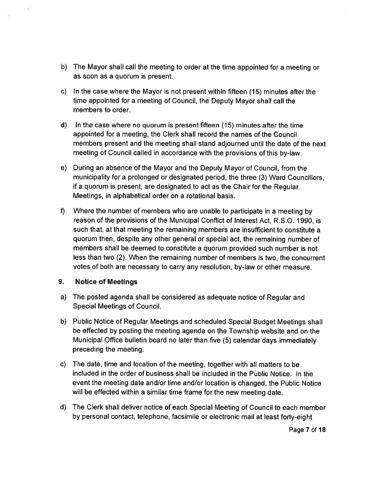- b) The Mayor shall call the meeting to order at the time appointed for <sup>a</sup> meeting or as soon as <sup>a</sup> quorum is present.
- c) In the case where the Mayor is not presen<sup>t</sup> within fifteen (15) minutes after the time appointed for <sup>a</sup> meeting of Council, the Deputy Mayor shall call the members to order.
- d) In the case where no quorum is presen<sup>t</sup> fifteen (15) minutes after the time appointed fora meeting, the Clerk shall record the names of the Council members presen<sup>t</sup> and the meeting shall stand adjourned until the date of the next meeting of Council called in accordance with the provisions of this by-law.
- e) During an absence of the Mayor and the Deputy Mayor of Council, from the municipality for <sup>a</sup> prolonged or designated period, the three (3) Ward Councillors, if <sup>a</sup> quorum is present, are designated to act as the Chair for the Regular Meetings, in alphabetical order on <sup>a</sup> rotational basis.
- f) Where the number of members who are unable to participate in <sup>a</sup> meeting by reason of the provisions of the Municipal Conflict of Interest Act, R.S.O. 1990, is such that, at that meeting the remaining members are insufficient to constitute <sup>a</sup> quorum then, despite any other general or special act, the remaining number of members shall be deemed to constitute <sup>a</sup> quorum provided such number is not less than two (2). When the remaining number of members is two, the concurrent votes of both are necessary to carry any resolution, by-law or other measure.

### 9. Notice of Meetings

- a) The posted agenda shall be considered as adequate notice of Regular and Special Meetings of Council.
- b) Public Notice of Regular Meetings and scheduled Special Budget Meetings shall be effected by posting the meeting agenda on the Township website and on the Municipal Office bulletin board no later than five (5) calendar days immediately preceding the meeting.
- c) The date, time and location of the meeting, together with all matters to be included in the order of business shall be included in the Public Notice. In the event the meeting date and/or time and/or location is changed, the Public Notice will be effected within <sup>a</sup> similar time frame for the new meeting date.
- d) The Clerk shall deliver notice of each Special Meeting of Council to each member by persona<sup>l</sup> contact, telephone, facsimile or electronic mail at least forty-eight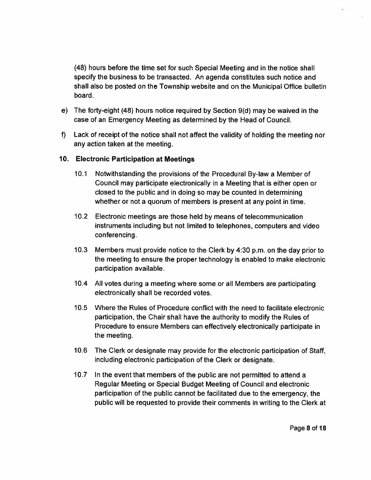(48) hours before the time set for such Special Meeting and in the notice shall specify the business to be transacted. An agenda constitutes such notice and shall also be posted on the Township website and on the Municipal Office bulletin board.

- e) The forty-eight (48) hours notice required by Section 9(d) may be waived in the case of an Emergency Meeting as determined by the Head of Council.
- f) Lack of receipt of the notice shall not affect the validity of holding the meeting nor any action taken at the meeting.

### 10. Electronic Participation at Meetings

- 10.1 Notwithstanding the provisions of the Procedural By-law <sup>a</sup> Member of Council may participate electronically in <sup>a</sup> Meeting that is either open or closed to the public and in doing so may be counted in determining whether or not a quorum of members is present at any point in time.
- 10.2 Electronic meetings are those held by means of telecommunication instruments including but not limited to telephones, computers and video conferencing.
- 10.3 Members must provide notice to the Clerk by 4:30 p.m. on the day prior to the meeting to ensure the proper technology is enabled to make electronic participation available.
- 10.4 All votes during <sup>a</sup> meeting where some or all Members are participating electronically shall be recorded votes.
- 10.5 Where the Rules of Procedure conflict with the need to facilitate electronic participation, the Chair shall have the authority to modify the Rules of Procedure to ensure Members can effectively electronically participate in the meeting.
- 10.6 The Clerk or designate may provide for the electronic participation of Staff, including electronic participation of the Clerk or designate.
- 10.7 In the event that members of the public are not permitted to attend <sup>a</sup> Regular Meeting or Special Budget Meeting of Council and electronic participation of the public cannot be facilitated due to the emergency, the public will be requested to provide their comments in writing to the Clerk at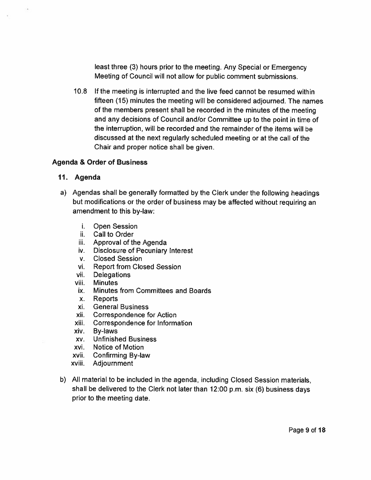least three (3) hours prior to the meeting. Any Special or Emergency Meeting of Council will not allow for public comment submissions.

10.8 If the meeting is interrupted and the live feed cannot be resumed within fifteen (15) minutes the meeting will be considered adjourned. The names of the members presen<sup>t</sup> shall be recorded in the minutes of the meeting and any decisions of Council and/or Committee up to the point in time of the interruption, will be recorded and the remainder of the items will be discussed at the next regularly scheduled meeting or at the call of the Chair and proper notice shall be given.

#### Agenda & Order of Business

#### 11. Agenda

- a) Agendas shall be generally formatted by the Clerk under the following headings but modifications or the order of business may be affected without requiring an amendment to this by-law:
	- i. Open Session
	- ii. Call to Order
	- iii. Approval of the Agenda
	- iv. Disclosure of Pecuniary Interest
	- v. Closed Session
	- vi. Report from Closed Session
	- vii. Delegations
	- viii. Minutes
	- ix. Minutes from Committees and Boards
	- x. Reports
	- xi. General Business
	- xii. Correspondence for Action
	- xiii. Correspondence for Information
	- xiv. By-laws
	- xv. Unfinished Business
	- xvi. Notice of Motion
	- xvii. Confirming By-law
	- xviii. Adjournment
- b) All material to be included in the agenda, including Closed Session materials, shall be delivered to the Clerk not later than 12:00 p.m. six (6) business days prior to the meeting date.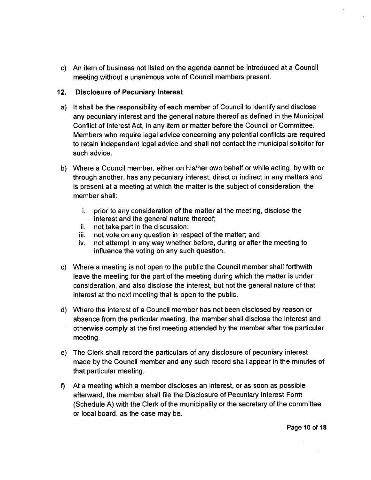c) An item of business not listed on the agenda cannot be introduced at <sup>a</sup> Council meeting without <sup>a</sup> unanimous vote of Council members present.

### 12. Disclosure of Pecuniary Interest

- a) It shall be the responsibility of each member of Council to identify and disclose any pecuniary interest and the general nature thereof as defined in the Municipal Conflict of Interest Act, in any item or mailer before the Council or Committee. Members who require legal advice concerning any potential conflicts are required to retain independent legal advice and shall not contact the municipal solicitor for such advice.
- b) Where <sup>a</sup> Council member, either on his/her own behalf or while acting, by with or through another, has any pecuniary interest, direct or indirect in any matters and is presen<sup>t</sup> at <sup>a</sup> meeting at which the matter is the subject of consideration, the member shall:
	- i. prior to any consideration of the matter at the meeting, disclose the interest and the general nature thereof;
	- ii. not take par<sup>t</sup> in the discussion;
	- iii. not vote on any question in respect of the matter; and
	- iv. not attempt in any way whether before, during or after the meeting to influence the voting on any such question.
- c) Where <sup>a</sup> meeting is not open to the public the Council member shall forthwith leave the meeting for the par<sup>t</sup> of the meeting during which the matter is under consideration, and also disclose the interest, but not the general nature of that interest at the next meeting that is open to the public.
- d) Where the interest of <sup>a</sup> Council member has not been disclosed by reason or absence from the particular meeting, the member shall disclose the interest and otherwise comply at the first meeting attended by the member after the particular meeting.
- e) The Clerk shall record the particulars of any disclosure of pecuniary interest made by the Council member and any such record shall appear in the minutes of that particular meeting.
- f) At <sup>a</sup> meeting which <sup>a</sup> member discloses an interest, or as soon as possible afterward, the member shall file the Disclosure of Pecuniary Interest Form (Schedule A) with the Clerk of the municipality or the secretary of the committee or local board, as the case may be.

Page 10 of 18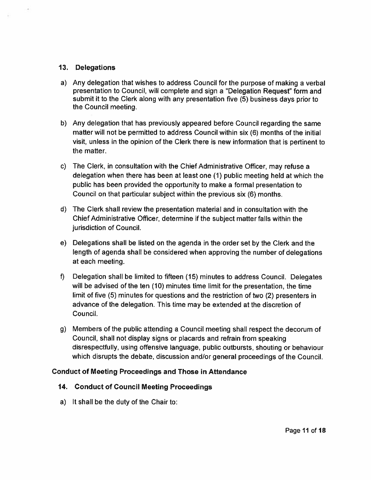#### 13. Oelegations

- a) Any delegation that wishes to address Council for the purpose of making <sup>a</sup> verbal presentation to Council, will complete and sign a "Delegation Request" form and submit it to the Clerk along with any presentation five (5) business days prior to the Council meeting.
- b) Any delegation that has previously appeared before Council regarding the same matter will not be permitted to address Council within six (6) months of the initial visit, unless in the opinion of the Clerk there is new information that is pertinent to the matter.
- c) The Clerk, in consultation with the Chief Administrative Officer, may refuse <sup>a</sup> delegation when there has been at least one (1) public meeting held at which the public has been provided the opportunity to make <sup>a</sup> formal presentation to Council on that particular subject within the previous six (6) months.
- d) The Clerk shall review the presentation material and in consultation with the Chief Administrative Officer, determine if the subject matter falls within the jurisdiction of Council.
- e) Delegations shall be listed on the agenda in the order set by the Clerk and the length of agenda shall be considered when approving the number of delegations at each meeting.
- f) Delegation shall be limited to fifteen (15) minutes to address Council. Delegates will be advised of the ten (10) minutes time limit for the presentation, the time limit of five (5) minutes for questions and the restriction of two (2) presenters in advance of the delegation. This time may be extended at the discretion of Council.
- g) Members of the public attending <sup>a</sup> Council meeting shall respec<sup>t</sup> the decorum of Council, shall not display signs or <sup>p</sup>lacards and refrain from speaking disrespectfully, using offensive language, public outbursts, shouting or behaviour which disrupts the debate, discussion and/or general proceedings of the Council.

### Conduct of Meeting Proceedings and Those in Attendance

### 14. Conduct of Council Meeting Proceedings

a) It shall be the duty of the Chair to: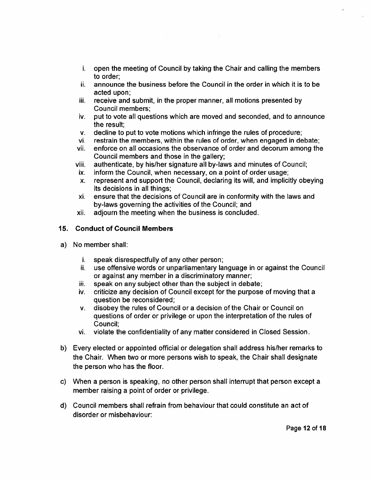- i. open the meeting of Council by taking the Chair and calling the members to order;
- ii.  $\;$  announce the business before the Council in the order in which it is to be acted upon;
- iii. receive and submit, in the proper manner, all motions presented by Council members;
- iv. pu<sup>t</sup> to vote all questions which are moved and seconded, and to announce the result;
- v. decline to pu<sup>t</sup> to vote motions which infringe the rules of procedure;
- vi. restrain the members, within the rules of order, when engaged in debate;
- vii. enforce on all occasions the observance of order and decorum among the Council members and those in the gallery;
- viii. authenticate, by his/her signature all by-laws and minutes of Council;
- ix. $\,\ldots\,$  inform the Council, when necessary, on a point of order usage
- x. represen<sup>t</sup> and suppor<sup>t</sup> the Council, declaring its will, and implicitly obeying its decisions in all things;
- xi. ensure that the decisions of Council are in conformity with the laws and by-laws governing the activities of the Council; and
- xii. adjourn the meeting when the business is concluded.

#### 15. Conduct of Council Members

- a) No member shall:
	- i. speak disrespectfully of any other person;
	- ii. use offensive words or unparliamentary language in or against the Counci or against any member in <sup>a</sup> discriminatory manner;
	- Hi.speak on any subject other than the subject in debate;
	- iv. criticize any decision of Council excep<sup>t</sup> for the purpose of moving that <sup>a</sup> question be reconsidered;
	- v. disobey the rules of Council or <sup>a</sup> decision of the Chair or Council on questions of order or privilege or upon the interpretation of the rules of Council;
	- vi. violate the confidentiality of any mailer considered in Closed Session.
- b) Every elected or appointed official or delegation shall address his/her remarks to the Chair. When two or more persons wish to speak, the Chair shall designate the person who has the floor.
- c) When <sup>a</sup> person is speaking, no other person shall interrupt that person excep<sup>t</sup> <sup>a</sup> member raising <sup>a</sup> point of order or privilege.
- d) Council members shall refrain from behaviour that could constitute an act of disorder or misbehaviour: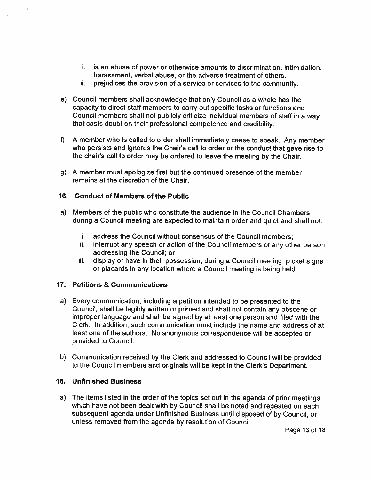- i. is an abuse of power or otherwise amounts to discrimination, intimidation, harassment, verbal abuse, or the adverse treatment of others.
- ii. prejudices the provision of a service or services to the community.
- e) Council members shall acknowledge that only Council as <sup>a</sup> whole has the capacity to direct staff members to carry out specific tasks or functions and Council members shall not publicly criticize individual members of staff in <sup>a</sup> way that casts doubt on their professional competence and credibility.
- f) <sup>A</sup> member who is called to order shall immediately cease to speak. Any member who persists and ignores the Chair's call to order or the conduct that gave rise to the chair's call to order may be ordered to leave the meeting by the Chair.
- g) A member must apologize first but the continued presence of the member remains at the discretion of the Chair.

### 16. Conduct of Members of the Public

- a) Members of the public who constitute the audience in the Council Chambers during <sup>a</sup> Council meeting are expected to maintain order and quiet and shall not:
	- i. address the Council without consensus of the Council members;
	- ii. interrupt any speech or action of the Council members or any other person addressing the Council; or
	- iii. display or have in their possession, during <sup>a</sup> Council meeting, <sup>p</sup>icket signs or <sup>p</sup>lacards in any location where <sup>a</sup> Council meeting is being held.

### 17. Petitions & Communications

- a) Every communication, including <sup>a</sup> petition intended to be presented to the Council, shall be legibly written or printed and shall not contain any obscene or improper language and shall be signed by at least one person and filed with the Clerk. In addition, such communication must include the name and address of at least one of the authors. No anonymous correspondence will be accepted or provided to Council.
- b) Communication received by the Clerk and addressed to Council will be provided to the Council members and originals will be kept in the Clerk's Department.

### 18. Unfinished Business

a) The items listed in the order of the topics set out in the agenda of prior meetings which have not been dealt with by Council shall be noted and repeated on each subsequent agenda under Unfinished Business until disposed of by Council, or unless removed from the agenda by resolution of Council.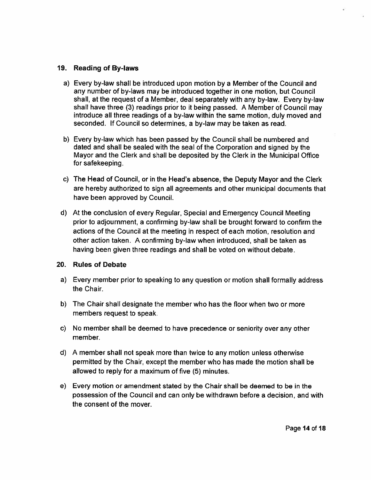#### 19. Reading of By-laws

- a) Every by-law shall be introduced upon motion by <sup>a</sup> Member of the Council and any number of by-laws may be introduced together in one motion, but Council shall, at the reques<sup>t</sup> of <sup>a</sup> Member, deal separately with any by-law. Every by-law shall have three (3) readings prior to it being passed. A Member of Council may introduce all three readings of <sup>a</sup> by-law within the same motion, duly moved and seconded. If Council so determines, <sup>a</sup> by-law may be taken as read.
- b) Every by-law which has been passed by the Council shall be numbered and dated and shall be sealed with the seal of the Corporation and signed by the Mayor and the Clerk and shall be deposited by the Clerk in the Municipal Office for safekeeping.
- c) The Head of Council, or in the Head's absence, the Deputy Mayor and the Clerk are hereby authorized to sign all agreements and other municipal documents that have been approved by Council.
- d) At the conclusion of every Regular, Special and Emergency Council Meeting prior to adjournment, <sup>a</sup> confirming by-law shall be brought forward to confirm the actions of the Council at the meeting in respec<sup>t</sup> of each motion, resolution and other action taken. A confirming by-law when introduced, shall be taken as having been given three readings and shall be voted on without debate.

#### 20. Rules of Debate

- a) Every member prior to speaking to any question or motion shall formally address the Chair.
- b) The Chair shall designate the member who has the floor when two or more members reques<sup>t</sup> to speak.
- c) No member shall be deemed to have precedence or seniority over any other member.
- d) A member shall not speak more than twice to any motion unless otherwise permitted by the Chair, excep<sup>t</sup> the member who has made the motion shall be allowed to reply for <sup>a</sup> maximum of five (5) minutes.
- e) Every motion or amendment stated by the Chair shall be deemed to be in the possession of the Council and can only be withdrawn before <sup>a</sup> decision, and with the consent of the mover.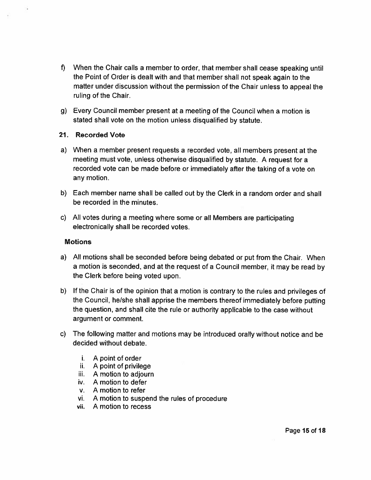- f) When the Chair calls <sup>a</sup> member to order, that member shall cease speaking until the Point of Order is dealt with and that member shall not spea<sup>k</sup> again to the matter under discussion without the permission of the Chair unless to appeal the ruling of the Chair.
- g) Every Council member presen<sup>t</sup> at <sup>a</sup> meeting of the Council when <sup>a</sup> motion is stated shall vote on the motion unless disqualified by statute.

#### 21. Recorded Vote

- a) When <sup>a</sup> member presen<sup>t</sup> requests <sup>a</sup> recorded vote, all members presen<sup>t</sup> at the meeting must vote, unless otherwise disqualified by statute. <sup>A</sup> reques<sup>t</sup> for <sup>a</sup> recorded vote can be made before or immediately after the taking of <sup>a</sup> vote on any motion.
- b) Each member name shall be called out by the Clerk in <sup>a</sup> random order and shall be recorded in the minutes.
- c) All votes during <sup>a</sup> meeting where some or all Members are participating electronically shall be recorded votes.

#### Motions

- a) All motions shall be seconded before being debated or pu<sup>t</sup> from the Chair. When <sup>a</sup> motion is seconded, and at the reques<sup>t</sup> of <sup>a</sup> Council member, it may be read by the Clerk before being voted upon.
- b) If the Chair is of the opinion that <sup>a</sup> motion is contrary to the rules and privileges of the Council, he/she shall apprise the members thereof immediately before putting the question, and shall cite the rule or authority applicable to the case without argument or comment.
- c) The following matter and motions may be introduced orally without notice and be decided without debate.
	- i. A point of order
	- ii. A point of privilege
	- iii. A motion to adjourn
	- iv. A motion to defer
	- v. A motion to refer
	- vi. <sup>A</sup> motion to suspend the rules of procedure
	- vii. A motion to recess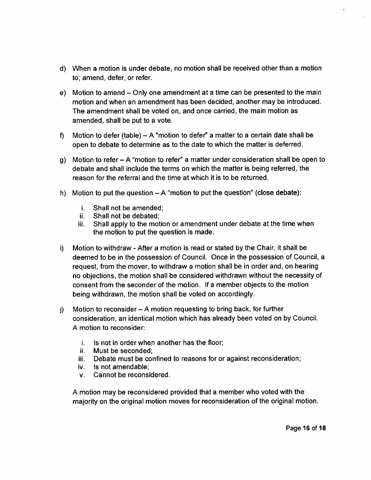- d) When <sup>a</sup> motion is under debate, no motion shall be received other than <sup>a</sup> motion to; amend, defer, or refer.
- e) Motion to amend Only one amendment at <sup>a</sup> time can be presented to the main motion and when an amendment has been decided, another may be introduced. The amendment shall be voted on, and once carried, the main motion as amended, shall be pu<sup>t</sup> to <sup>a</sup> vote.
- f) Motion to defer (table) A "motion to defer" <sup>a</sup> matter to <sup>a</sup> certain date shall be open to debate to determine as to the date to which the matter is deferred.
- g) Motion to refer <sup>A</sup> "motion to refer" <sup>a</sup> matter under consideration shall be open to debate and shall include the terms on which the matter is being referred, the reason for the referral and the time at which it is to be returned.
- h) Motion to put the question  $-A$  "motion to put the question" (close debate):
	- i. Shall not be amended;
	- ii. Shall not be debated
	- Hi. Shall apply to the motion or amendment under debate at the time when the motion to pu<sup>t</sup> the question is made.
- i) Motion to withdraw -After <sup>a</sup> motion is read or stated by the Chair, it shall be deemed to be in the possession of Council. Once in the possession of Council, <sup>a</sup> request, from the mover, to withdraw <sup>a</sup> motion shall be in order and, on hearing no objections, the motion shall be considered withdrawn without the necessity of consent from the seconder of the motion. If <sup>a</sup> member objects to the motion being withdrawn, the motion shall be voted on accordingly.
- j) Motion to reconsider <sup>A</sup> motion requesting to bring back, for further consideration, an identical motion which has already been voted on by Council, A motion to reconsider:
	- i. Is not in order when another has the floor
	- ii. Must be seconded
	- iii. Debate must be confined to reasons for or against reconsideration
	- iv. Is not amendable;
	- v. Cannot be reconsidered.

A motion may be reconsidered provided that <sup>a</sup> member who voted with the majority on the original motion moves for reconsideration of the original motion.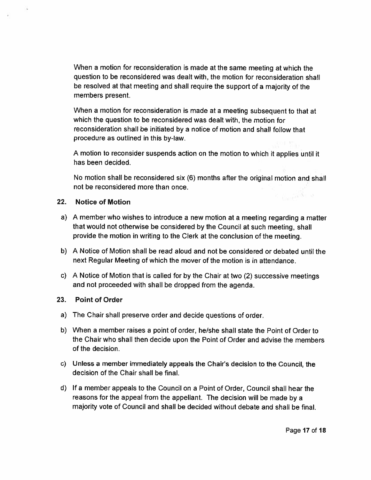When <sup>a</sup> motion for reconsideration is made at the same meeting at which the question to be reconsidered was dealt with, the motion for reconsideration shall be resolved at that meeting and shall require the suppor<sup>t</sup> of <sup>a</sup> majority of the members present.

When <sup>a</sup> motion for reconsideration is made at <sup>a</sup> meeting subsequent to that at which the question to be reconsidered was dealt with, the motion for reconsideration shall be initiated by <sup>a</sup> notice of motion and shall follow that procedure as outlined in this by-law.

<sup>A</sup> motion to reconsider suspends action on the motion to which it applies until it has been decided.

No motion shall be reconsidered six (6) months after the original motion and shall not be reconsidered more than once.  $\leq$   $\frac{1}{2}$   $\frac{1}{2}$   $\frac{1}{2}$   $\frac{1}{2}$   $\frac{1}{2}$ 

### 22. Notice of Motion

- a) <sup>A</sup> member who wishes to introduce <sup>a</sup> new motion at <sup>a</sup> meeting regarding <sup>a</sup> matter that would not otherwise be considered by the Council at such meeting, shall provide the motion in writing to the Clerk at the conclusion of the meeting.
- b) A Notice of Motion shall be read aloud and not be considered or debated until the next Regular Meeting of which the mover of the motion is in attendance.
- c) <sup>A</sup> Notice of Motion that is called for by the Chair at two (2) successive meetings and not proceeded with shall be dropped from the agenda.

### 23. Point of Order

- a) The Chair shall preserve order and decide questions of order.
- b) When <sup>a</sup> member raises <sup>a</sup> point of order, he/she shall state the Point of Order to the Chair who shall then decide upon the Point of Order and advise the members of the decision.
- c) Unless <sup>a</sup> member immediately appeals the Chair's decision to the Council, the decision of the Chair shall be final.
- d) If <sup>a</sup> member appeals to the Council on <sup>a</sup> Point of Order, Council shall hear the reasons for the appea<sup>l</sup> from the appellant. The decision will be made by <sup>a</sup> majority vote of Council and shall be decided without debate and shall be final.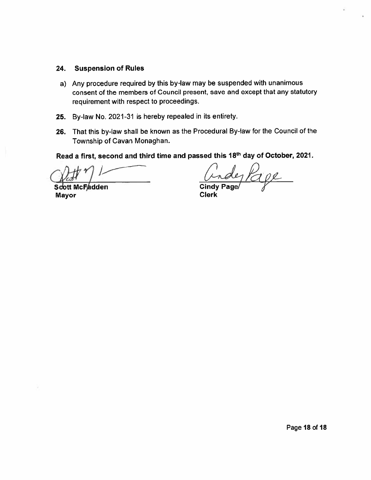#### 24.Suspension of Rules

- a) Any procedure required by this by-law may be suspended with unanimous consent of the members of Council present, save and excep<sup>t</sup> that any statutory requirement with respec<sup>t</sup> to proceedings.
- 25. By-law No. 2021-31 is hereby repealed in its entirety.
- 26. That this by-law shall be known as the Procedural By-law for the Council of the Township of Cavan Monaghan.

Read a first, second and third time and passed this 18<sup>th</sup> day of October, 2021

1

Scott McFadden Cindy Page Mayor **Clerk** 

de11